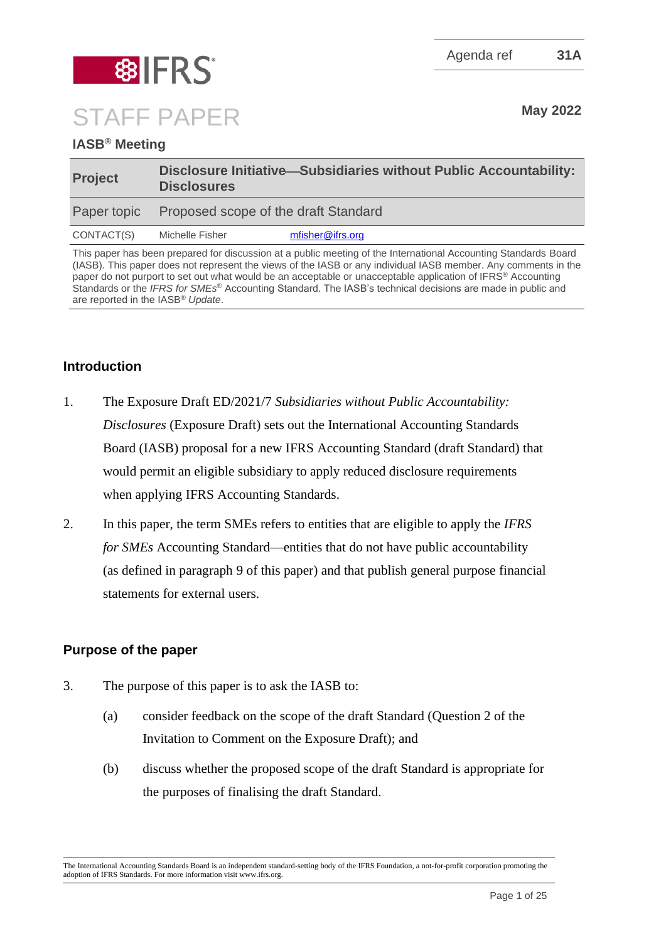Agenda ref **31A**



STAFF PAPER May 2022

# **IASB® Meeting**

| <b>Project</b> | Disclosure Initiative—Subsidiaries without Public Accountability:<br><b>Disclosures</b> |                  |
|----------------|-----------------------------------------------------------------------------------------|------------------|
|                | Paper topic Proposed scope of the draft Standard                                        |                  |
| CONTACT(S)     | Michelle Fisher                                                                         | mfisher@ifrs.org |
|                |                                                                                         |                  |

This paper has been prepared for discussion at a public meeting of the International Accounting Standards Board (IASB). This paper does not represent the views of the IASB or any individual IASB member. Any comments in the paper do not purport to set out what would be an acceptable or unacceptable application of IFRS® Accounting Standards or the *IFRS for SMEs*® Accounting Standard. The IASB's technical decisions are made in public and are reported in the IASB® *Update*.

## **Introduction**

- 1. The Exposure Draft ED/2021/7 *Subsidiaries without Public Accountability: Disclosures* (Exposure Draft) sets out the International Accounting Standards Board (IASB) proposal for a new IFRS Accounting Standard (draft Standard) that would permit an eligible subsidiary to apply reduced disclosure requirements when applying IFRS Accounting Standards.
- 2. In this paper, the term SMEs refers to entities that are eligible to apply the *IFRS for SMEs* Accounting Standard—entities that do not have public accountability (as defined in paragraph 9 of this paper) and that publish general purpose financial statements for external users.

## **Purpose of the paper**

- 3. The purpose of this paper is to ask the IASB to:
	- (a) consider feedback on the scope of the draft Standard (Question 2 of the Invitation to Comment on the Exposure Draft); and
	- (b) discuss whether the proposed scope of the draft Standard is appropriate for the purposes of finalising the draft Standard.

The International Accounting Standards Board is an independent standard-setting body of the IFRS Foundation, a not-for-profit corporation promoting the adoption of IFRS Standards. For more information visit www.ifrs.org.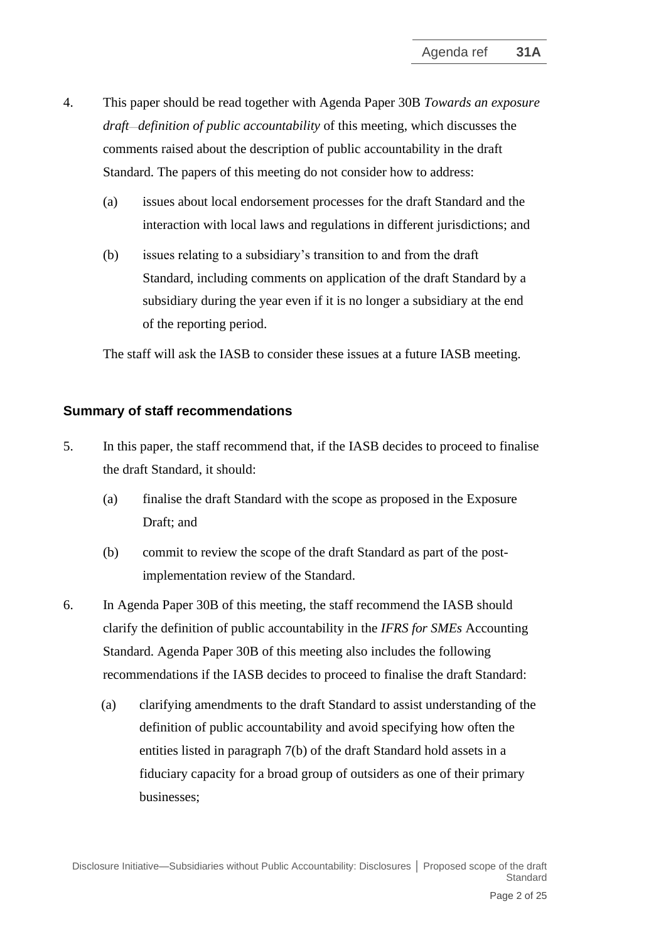- 4. This paper should be read together with Agenda Paper 30B *Towards an exposure draft—definition of public accountability* of this meeting, which discusses the comments raised about the description of public accountability in the draft Standard. The papers of this meeting do not consider how to address:
	- (a) issues about local endorsement processes for the draft Standard and the interaction with local laws and regulations in different jurisdictions; and
	- (b) issues relating to a subsidiary's transition to and from the draft Standard, including comments on application of the draft Standard by a subsidiary during the year even if it is no longer a subsidiary at the end of the reporting period.

The staff will ask the IASB to consider these issues at a future IASB meeting.

### **Summary of staff recommendations**

- 5. In this paper, the staff recommend that, if the IASB decides to proceed to finalise the draft Standard, it should:
	- (a) finalise the draft Standard with the scope as proposed in the Exposure Draft; and
	- (b) commit to review the scope of the draft Standard as part of the postimplementation review of the Standard.
- 6. In Agenda Paper 30B of this meeting, the staff recommend the IASB should clarify the definition of public accountability in the *IFRS for SMEs* Accounting Standard. Agenda Paper 30B of this meeting also includes the following recommendations if the IASB decides to proceed to finalise the draft Standard:
	- (a) clarifying amendments to the draft Standard to assist understanding of the definition of public accountability and avoid specifying how often the entities listed in paragraph 7(b) of the draft Standard hold assets in a fiduciary capacity for a broad group of outsiders as one of their primary businesses;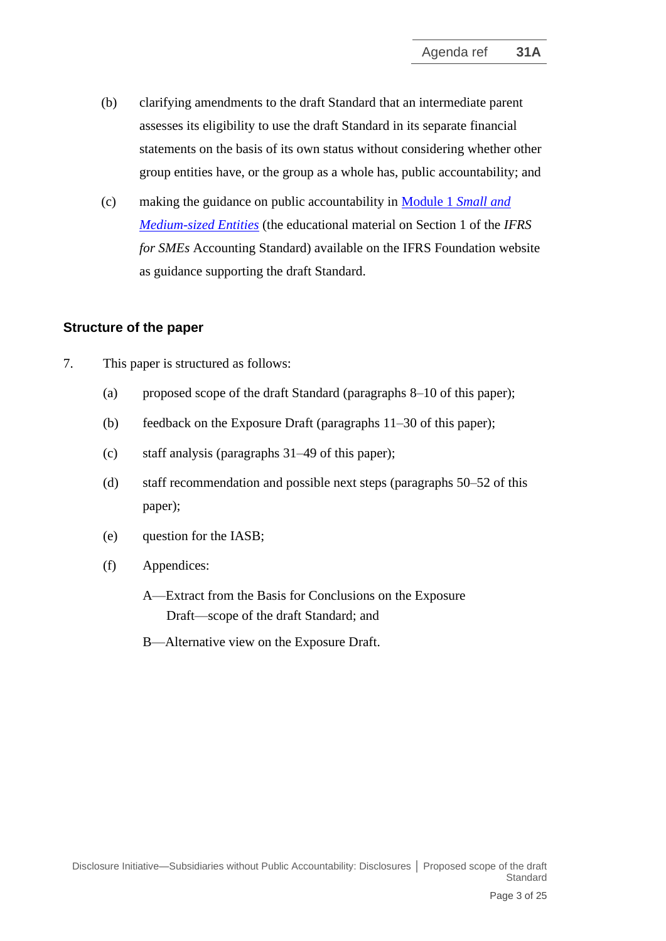- (b) clarifying amendments to the draft Standard that an intermediate parent assesses its eligibility to use the draft Standard in its separate financial statements on the basis of its own status without considering whether other group entities have, or the group as a whole has, public accountability; and
- (c) making the guidance on public accountability in Module 1 *[Small and](https://www.ifrs.org/content/dam/ifrs/supporting-implementation/smes/module-01.pdf)  [Medium-sized Entities](https://www.ifrs.org/content/dam/ifrs/supporting-implementation/smes/module-01.pdf)* (the educational material on Section 1 of the *IFRS for SMEs* Accounting Standard) available on the IFRS Foundation website as guidance supporting the draft Standard.

### **Structure of the paper**

- 7. This paper is structured as follows:
	- (a) proposed scope of the draft Standard (paragraphs 8–10 of this paper);
	- (b) feedback on the Exposure Draft (paragraphs 11–30 of this paper);
	- (c) staff analysis (paragraphs 31–49 of this paper);
	- (d) staff recommendation and possible next steps (paragraphs 50–52 of this paper);
	- (e) question for the IASB;
	- (f) Appendices:
		- A—Extract from the Basis for Conclusions on the Exposure Draft—scope of the draft Standard; and
		- B—Alternative view on the Exposure Draft.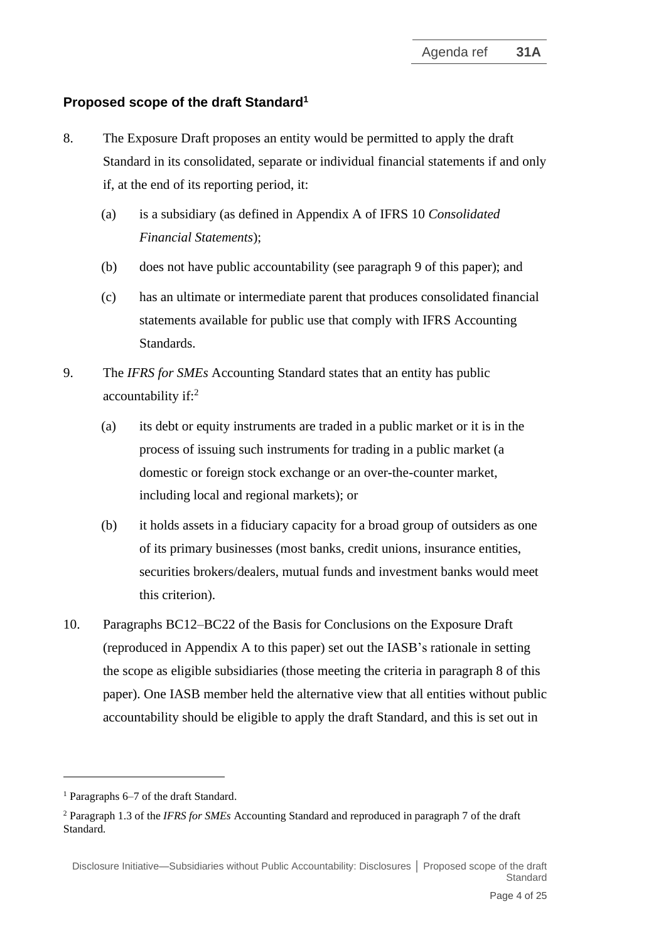## **Proposed scope of the draft Standard<sup>1</sup>**

- 8. The Exposure Draft proposes an entity would be permitted to apply the draft Standard in its consolidated, separate or individual financial statements if and only if, at the end of its reporting period, it:
	- (a) is a subsidiary (as defined in Appendix A of IFRS 10 *Consolidated Financial Statements*);
	- (b) does not have public accountability (see paragraph 9 of this paper); and
	- (c) has an ultimate or intermediate parent that produces consolidated financial statements available for public use that comply with IFRS Accounting Standards.
- 9. The *IFRS for SMEs* Accounting Standard states that an entity has public accountability if:<sup>2</sup>
	- (a) its debt or equity instruments are traded in a public market or it is in the process of issuing such instruments for trading in a public market (a domestic or foreign stock exchange or an over-the-counter market, including local and regional markets); or
	- (b) it holds assets in a fiduciary capacity for a broad group of outsiders as one of its primary businesses (most banks, credit unions, insurance entities, securities brokers/dealers, mutual funds and investment banks would meet this criterion).
- 10. Paragraphs BC12–BC22 of the Basis for Conclusions on the Exposure Draft (reproduced in Appendix A to this paper) set out the IASB's rationale in setting the scope as eligible subsidiaries (those meeting the criteria in paragraph 8 of this paper). One IASB member held the alternative view that all entities without public accountability should be eligible to apply the draft Standard, and this is set out in

<sup>1</sup> Paragraphs 6–7 of the draft Standard.

<sup>2</sup> Paragraph 1.3 of the *IFRS for SMEs* Accounting Standard and reproduced in paragraph 7 of the draft Standard*.*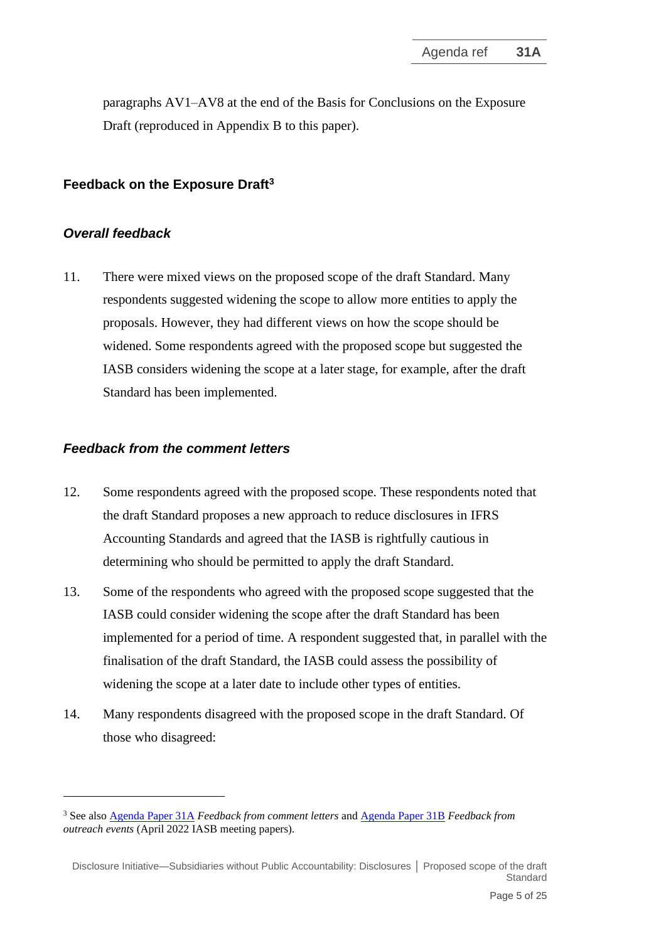paragraphs AV1–AV8 at the end of the Basis for Conclusions on the Exposure Draft (reproduced in Appendix B to this paper).

## **Feedback on the Exposure Draft<sup>3</sup>**

#### *Overall feedback*

11. There were mixed views on the proposed scope of the draft Standard. Many respondents suggested widening the scope to allow more entities to apply the proposals. However, they had different views on how the scope should be widened. Some respondents agreed with the proposed scope but suggested the IASB considers widening the scope at a later stage, for example, after the draft Standard has been implemented.

#### *Feedback from the comment letters*

- 12. Some respondents agreed with the proposed scope. These respondents noted that the draft Standard proposes a new approach to reduce disclosures in IFRS Accounting Standards and agreed that the IASB is rightfully cautious in determining who should be permitted to apply the draft Standard.
- 13. Some of the respondents who agreed with the proposed scope suggested that the IASB could consider widening the scope after the draft Standard has been implemented for a period of time. A respondent suggested that, in parallel with the finalisation of the draft Standard, the IASB could assess the possibility of widening the scope at a later date to include other types of entities.
- 14. Many respondents disagreed with the proposed scope in the draft Standard. Of those who disagreed:

<sup>3</sup> See also [Agenda Paper 31A](https://www.ifrs.org/content/dam/ifrs/meetings/2022/april/iasb/ap31a-feedback-from-comment-letters.pdf) *Feedback from comment letters* and [Agenda Paper 31B](https://www.ifrs.org/content/dam/ifrs/meetings/2022/april/iasb/ap31b-subsidiaries-feedback-from-outreach-events-final.pdf) *Feedback from outreach events* (April 2022 IASB meeting papers)*.*

Disclosure Initiative—Subsidiaries without Public Accountability: Disclosures **│** Proposed scope of the draft **Standard**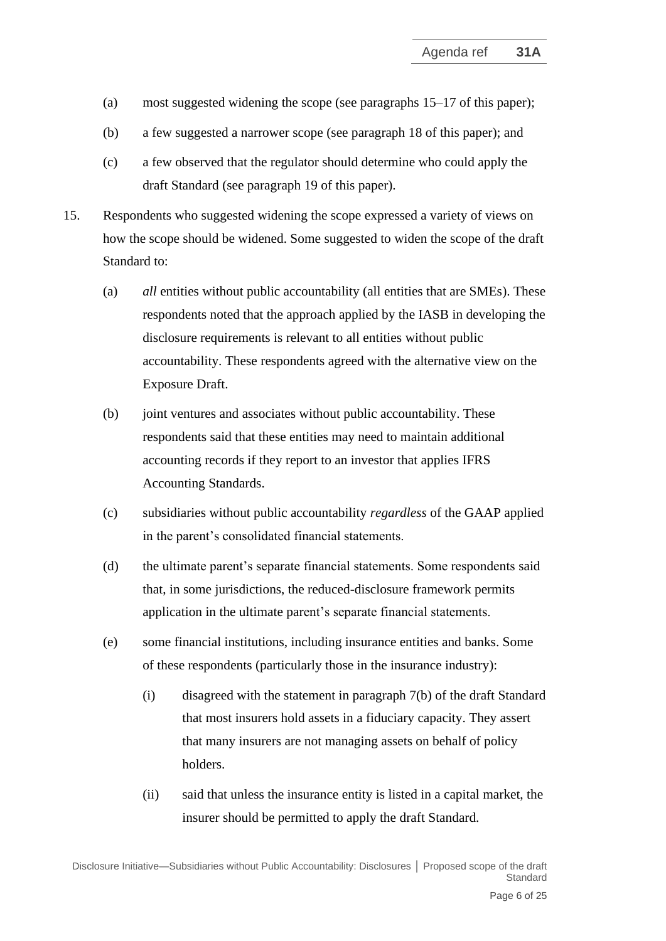- (a) most suggested widening the scope (see paragraphs 15–17 of this paper);
- (b) a few suggested a narrower scope (see paragraph 18 of this paper); and
- (c) a few observed that the regulator should determine who could apply the draft Standard (see paragraph 19 of this paper).
- 15. Respondents who suggested widening the scope expressed a variety of views on how the scope should be widened. Some suggested to widen the scope of the draft Standard to:
	- (a) *all* entities without public accountability (all entities that are SMEs). These respondents noted that the approach applied by the IASB in developing the disclosure requirements is relevant to all entities without public accountability. These respondents agreed with the alternative view on the Exposure Draft.
	- (b) joint ventures and associates without public accountability. These respondents said that these entities may need to maintain additional accounting records if they report to an investor that applies IFRS Accounting Standards.
	- (c) subsidiaries without public accountability *regardless* of the GAAP applied in the parent's consolidated financial statements.
	- (d) the ultimate parent's separate financial statements. Some respondents said that, in some jurisdictions, the reduced-disclosure framework permits application in the ultimate parent's separate financial statements.
	- (e) some financial institutions, including insurance entities and banks. Some of these respondents (particularly those in the insurance industry):
		- (i) disagreed with the statement in paragraph 7(b) of the draft Standard that most insurers hold assets in a fiduciary capacity. They assert that many insurers are not managing assets on behalf of policy holders.
		- (ii) said that unless the insurance entity is listed in a capital market, the insurer should be permitted to apply the draft Standard.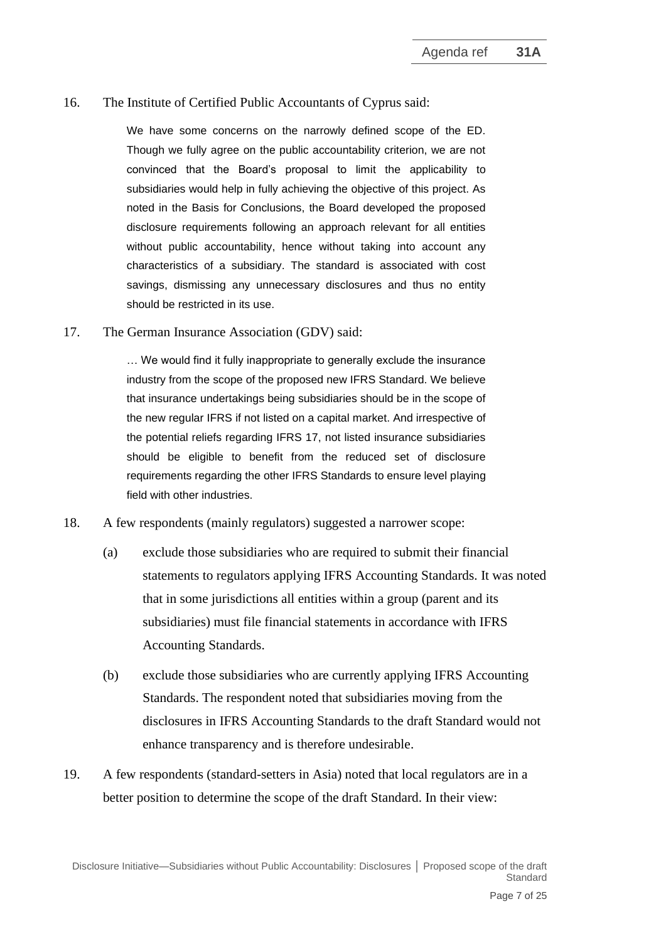#### 16. The Institute of Certified Public Accountants of Cyprus said:

We have some concerns on the narrowly defined scope of the ED. Though we fully agree on the public accountability criterion, we are not convinced that the Board's proposal to limit the applicability to subsidiaries would help in fully achieving the objective of this project. As noted in the Basis for Conclusions, the Board developed the proposed disclosure requirements following an approach relevant for all entities without public accountability, hence without taking into account any characteristics of a subsidiary. The standard is associated with cost savings, dismissing any unnecessary disclosures and thus no entity should be restricted in its use.

17. The German Insurance Association (GDV) said:

… We would find it fully inappropriate to generally exclude the insurance industry from the scope of the proposed new IFRS Standard. We believe that insurance undertakings being subsidiaries should be in the scope of the new regular IFRS if not listed on a capital market. And irrespective of the potential reliefs regarding IFRS 17, not listed insurance subsidiaries should be eligible to benefit from the reduced set of disclosure requirements regarding the other IFRS Standards to ensure level playing field with other industries.

- 18. A few respondents (mainly regulators) suggested a narrower scope:
	- (a) exclude those subsidiaries who are required to submit their financial statements to regulators applying IFRS Accounting Standards. It was noted that in some jurisdictions all entities within a group (parent and its subsidiaries) must file financial statements in accordance with IFRS Accounting Standards.
	- (b) exclude those subsidiaries who are currently applying IFRS Accounting Standards. The respondent noted that subsidiaries moving from the disclosures in IFRS Accounting Standards to the draft Standard would not enhance transparency and is therefore undesirable.
- 19. A few respondents (standard-setters in Asia) noted that local regulators are in a better position to determine the scope of the draft Standard. In their view: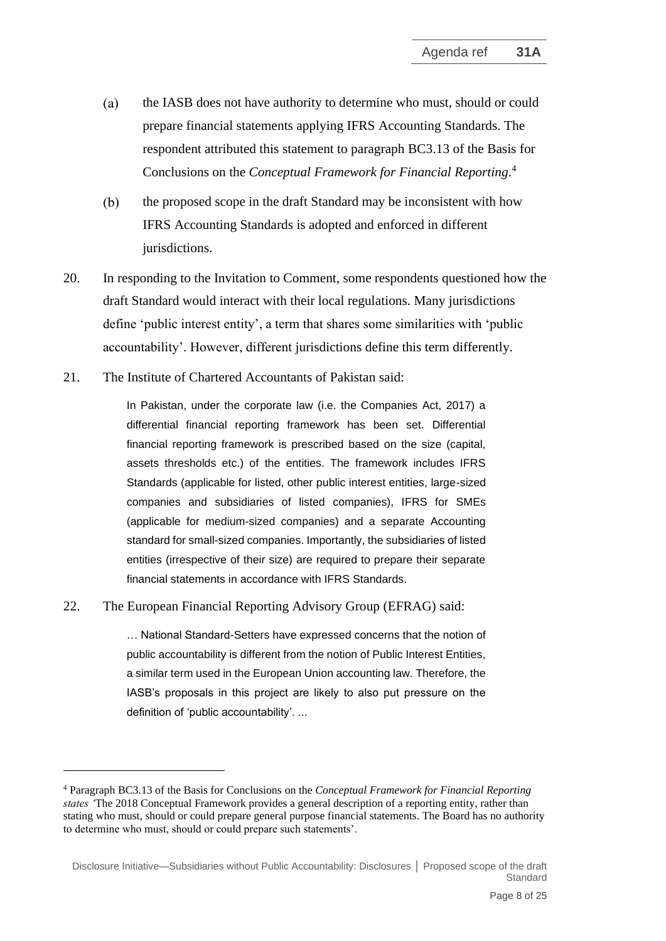- $(a)$ the IASB does not have authority to determine who must, should or could prepare financial statements applying IFRS Accounting Standards. The respondent attributed this statement to paragraph BC3.13 of the Basis for Conclusions on the *Conceptual Framework for Financial Reporting*. 4
- the proposed scope in the draft Standard may be inconsistent with how  $(b)$ IFRS Accounting Standards is adopted and enforced in different jurisdictions.
- 20. In responding to the Invitation to Comment, some respondents questioned how the draft Standard would interact with their local regulations. Many jurisdictions define 'public interest entity', a term that shares some similarities with 'public accountability'. However, different jurisdictions define this term differently.
- 21. The Institute of Chartered Accountants of Pakistan said:

In Pakistan, under the corporate law (i.e. the Companies Act, 2017) a differential financial reporting framework has been set. Differential financial reporting framework is prescribed based on the size (capital, assets thresholds etc.) of the entities. The framework includes IFRS Standards (applicable for listed, other public interest entities, large-sized companies and subsidiaries of listed companies), IFRS for SMEs (applicable for medium-sized companies) and a separate Accounting standard for small-sized companies. Importantly, the subsidiaries of listed entities (irrespective of their size) are required to prepare their separate financial statements in accordance with IFRS Standards.

22. The European Financial Reporting Advisory Group (EFRAG) said:

… National Standard-Setters have expressed concerns that the notion of public accountability is different from the notion of Public Interest Entities, a similar term used in the European Union accounting law. Therefore, the IASB's proposals in this project are likely to also put pressure on the definition of 'public accountability'. ...

<sup>4</sup> Paragraph BC3.13 of the Basis for Conclusions on the *Conceptual Framework for Financial Reporting states '*The 2018 Conceptual Framework provides a general description of a reporting entity, rather than stating who must, should or could prepare general purpose financial statements. The Board has no authority to determine who must, should or could prepare such statements'.

Disclosure Initiative—Subsidiaries without Public Accountability: Disclosures **│** Proposed scope of the draft Standard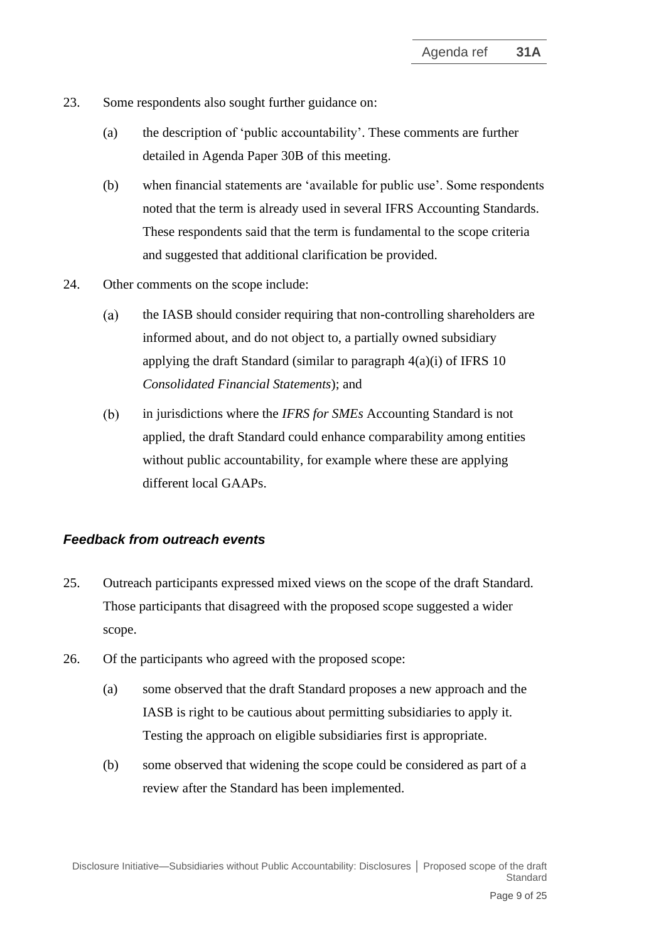- 23. Some respondents also sought further guidance on:
	- (a) the description of 'public accountability'. These comments are further detailed in Agenda Paper 30B of this meeting.
	- (b) when financial statements are 'available for public use'. Some respondents noted that the term is already used in several IFRS Accounting Standards. These respondents said that the term is fundamental to the scope criteria and suggested that additional clarification be provided.
- 24. Other comments on the scope include:
	- the IASB should consider requiring that non-controlling shareholders are  $(a)$ informed about, and do not object to, a partially owned subsidiary applying the draft Standard (similar to paragraph 4(a)(i) of IFRS 10 *Consolidated Financial Statements*); and
	- $(b)$ in jurisdictions where the *IFRS for SMEs* Accounting Standard is not applied, the draft Standard could enhance comparability among entities without public accountability, for example where these are applying different local GAAPs.

### *Feedback from outreach events*

- 25. Outreach participants expressed mixed views on the scope of the draft Standard. Those participants that disagreed with the proposed scope suggested a wider scope.
- 26. Of the participants who agreed with the proposed scope:
	- (a) some observed that the draft Standard proposes a new approach and the IASB is right to be cautious about permitting subsidiaries to apply it. Testing the approach on eligible subsidiaries first is appropriate.
	- (b) some observed that widening the scope could be considered as part of a review after the Standard has been implemented.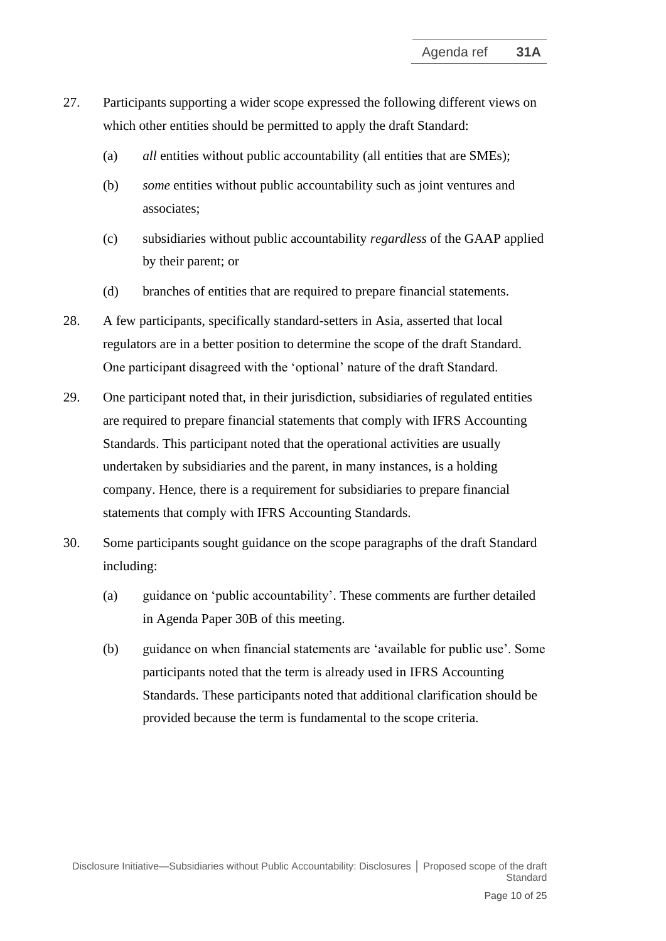- 27. Participants supporting a wider scope expressed the following different views on which other entities should be permitted to apply the draft Standard:
	- (a) *all* entities without public accountability (all entities that are SMEs);
	- (b) *some* entities without public accountability such as joint ventures and associates;
	- (c) subsidiaries without public accountability *regardless* of the GAAP applied by their parent; or
	- (d) branches of entities that are required to prepare financial statements.
- 28. A few participants, specifically standard-setters in Asia, asserted that local regulators are in a better position to determine the scope of the draft Standard. One participant disagreed with the 'optional' nature of the draft Standard.
- 29. One participant noted that, in their jurisdiction, subsidiaries of regulated entities are required to prepare financial statements that comply with IFRS Accounting Standards. This participant noted that the operational activities are usually undertaken by subsidiaries and the parent, in many instances, is a holding company. Hence, there is a requirement for subsidiaries to prepare financial statements that comply with IFRS Accounting Standards.
- 30. Some participants sought guidance on the scope paragraphs of the draft Standard including:
	- (a) guidance on 'public accountability'. These comments are further detailed in Agenda Paper 30B of this meeting.
	- (b) guidance on when financial statements are 'available for public use'. Some participants noted that the term is already used in IFRS Accounting Standards. These participants noted that additional clarification should be provided because the term is fundamental to the scope criteria.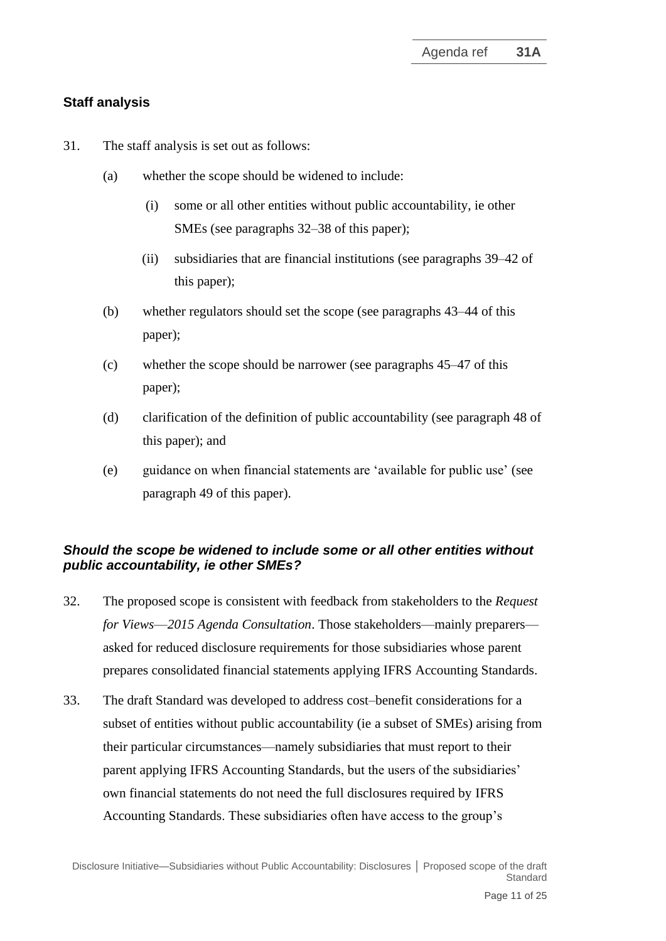# **Staff analysis**

- 31. The staff analysis is set out as follows:
	- (a) whether the scope should be widened to include:
		- (i) some or all other entities without public accountability, ie other SMEs (see paragraphs 32–38 of this paper);
		- (ii) subsidiaries that are financial institutions (see paragraphs 39–42 of this paper);
	- (b) whether regulators should set the scope (see paragraphs 43–44 of this paper);
	- (c) whether the scope should be narrower (see paragraphs 45–47 of this paper);
	- (d) clarification of the definition of public accountability (see paragraph 48 of this paper); and
	- (e) guidance on when financial statements are 'available for public use' (see paragraph 49 of this paper).

# *Should the scope be widened to include some or all other entities without public accountability, ie other SMEs?*

- 32. The proposed scope is consistent with feedback from stakeholders to the *Request for Views*—*2015 Agenda Consultation*. Those stakeholders—mainly preparers asked for reduced disclosure requirements for those subsidiaries whose parent prepares consolidated financial statements applying IFRS Accounting Standards.
- 33. The draft Standard was developed to address cost–benefit considerations for a subset of entities without public accountability (ie a subset of SMEs) arising from their particular circumstances—namely subsidiaries that must report to their parent applying IFRS Accounting Standards, but the users of the subsidiaries' own financial statements do not need the full disclosures required by IFRS Accounting Standards. These subsidiaries often have access to the group's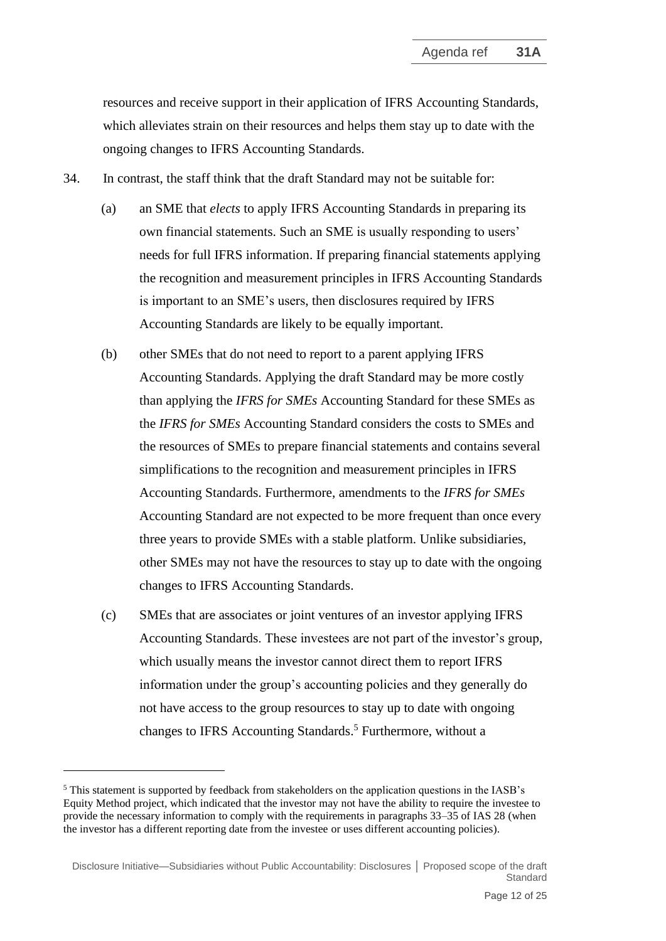resources and receive support in their application of IFRS Accounting Standards, which alleviates strain on their resources and helps them stay up to date with the ongoing changes to IFRS Accounting Standards.

- 34. In contrast, the staff think that the draft Standard may not be suitable for:
	- (a) an SME that *elects* to apply IFRS Accounting Standards in preparing its own financial statements. Such an SME is usually responding to users' needs for full IFRS information. If preparing financial statements applying the recognition and measurement principles in IFRS Accounting Standards is important to an SME's users, then disclosures required by IFRS Accounting Standards are likely to be equally important.
	- (b) other SMEs that do not need to report to a parent applying IFRS Accounting Standards. Applying the draft Standard may be more costly than applying the *IFRS for SMEs* Accounting Standard for these SMEs as the *IFRS for SMEs* Accounting Standard considers the costs to SMEs and the resources of SMEs to prepare financial statements and contains several simplifications to the recognition and measurement principles in IFRS Accounting Standards. Furthermore, amendments to the *IFRS for SMEs* Accounting Standard are not expected to be more frequent than once every three years to provide SMEs with a stable platform. Unlike subsidiaries, other SMEs may not have the resources to stay up to date with the ongoing changes to IFRS Accounting Standards.
	- (c) SMEs that are associates or joint ventures of an investor applying IFRS Accounting Standards. These investees are not part of the investor's group, which usually means the investor cannot direct them to report IFRS information under the group's accounting policies and they generally do not have access to the group resources to stay up to date with ongoing changes to IFRS Accounting Standards. <sup>5</sup> Furthermore, without a

<sup>5</sup> This statement is supported by feedback from stakeholders on the application questions in the IASB's Equity Method project, which indicated that the investor may not have the ability to require the investee to provide the necessary information to comply with the requirements in paragraphs 33–35 of IAS 28 (when the investor has a different reporting date from the investee or uses different accounting policies).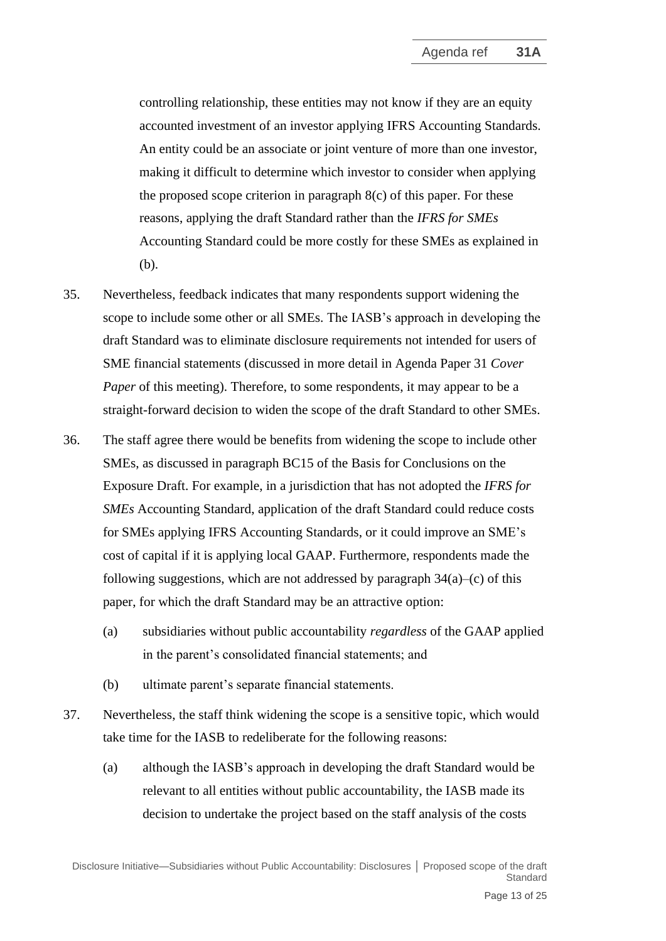controlling relationship, these entities may not know if they are an equity accounted investment of an investor applying IFRS Accounting Standards. An entity could be an associate or joint venture of more than one investor, making it difficult to determine which investor to consider when applying the proposed scope criterion in paragraph  $8(c)$  of this paper. For these reasons, applying the draft Standard rather than the *IFRS for SMEs* Accounting Standard could be more costly for these SMEs as explained in (b).

- 35. Nevertheless, feedback indicates that many respondents support widening the scope to include some other or all SMEs. The IASB's approach in developing the draft Standard was to eliminate disclosure requirements not intended for users of SME financial statements (discussed in more detail in Agenda Paper 31 *Cover Paper* of this meeting). Therefore, to some respondents, it may appear to be a straight-forward decision to widen the scope of the draft Standard to other SMEs.
- 36. The staff agree there would be benefits from widening the scope to include other SMEs, as discussed in paragraph BC15 of the Basis for Conclusions on the Exposure Draft. For example, in a jurisdiction that has not adopted the *IFRS for SMEs* Accounting Standard, application of the draft Standard could reduce costs for SMEs applying IFRS Accounting Standards, or it could improve an SME's cost of capital if it is applying local GAAP. Furthermore, respondents made the following suggestions, which are not addressed by paragraph  $34(a)$ –(c) of this paper, for which the draft Standard may be an attractive option:
	- (a) subsidiaries without public accountability *regardless* of the GAAP applied in the parent's consolidated financial statements; and
	- (b) ultimate parent's separate financial statements.
- 37. Nevertheless, the staff think widening the scope is a sensitive topic, which would take time for the IASB to redeliberate for the following reasons:
	- (a) although the IASB's approach in developing the draft Standard would be relevant to all entities without public accountability, the IASB made its decision to undertake the project based on the staff analysis of the costs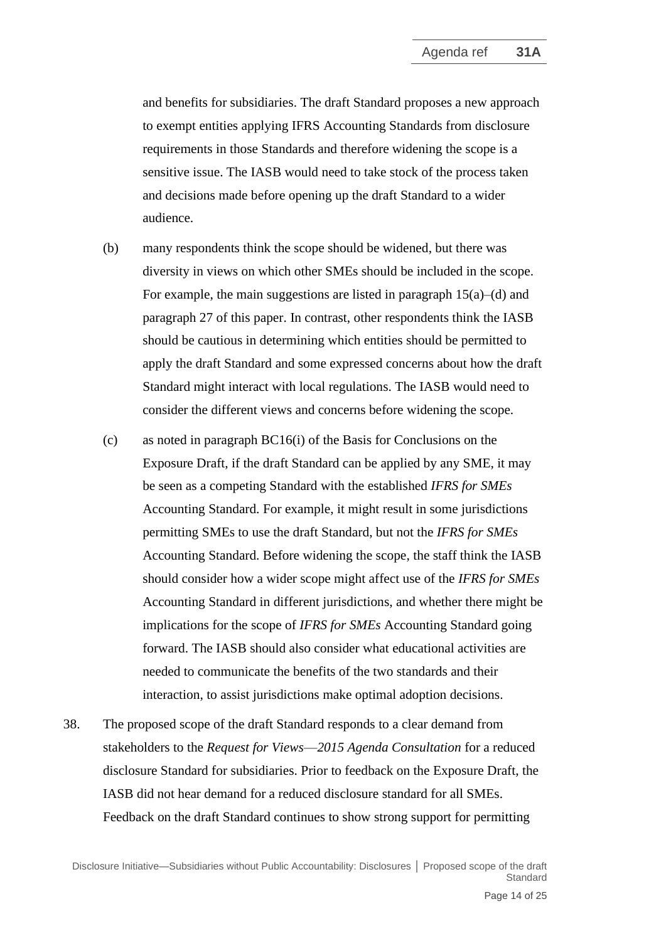and benefits for subsidiaries. The draft Standard proposes a new approach to exempt entities applying IFRS Accounting Standards from disclosure requirements in those Standards and therefore widening the scope is a sensitive issue. The IASB would need to take stock of the process taken and decisions made before opening up the draft Standard to a wider audience.

- (b) many respondents think the scope should be widened, but there was diversity in views on which other SMEs should be included in the scope. For example, the main suggestions are listed in paragraph  $15(a)$ –(d) and paragraph 27 of this paper. In contrast, other respondents think the IASB should be cautious in determining which entities should be permitted to apply the draft Standard and some expressed concerns about how the draft Standard might interact with local regulations. The IASB would need to consider the different views and concerns before widening the scope.
- (c) as noted in paragraph BC16(i) of the Basis for Conclusions on the Exposure Draft, if the draft Standard can be applied by any SME, it may be seen as a competing Standard with the established *IFRS for SMEs* Accounting Standard. For example, it might result in some jurisdictions permitting SMEs to use the draft Standard, but not the *IFRS for SMEs* Accounting Standard. Before widening the scope, the staff think the IASB should consider how a wider scope might affect use of the *IFRS for SMEs* Accounting Standard in different jurisdictions, and whether there might be implications for the scope of *IFRS for SMEs* Accounting Standard going forward. The IASB should also consider what educational activities are needed to communicate the benefits of the two standards and their interaction, to assist jurisdictions make optimal adoption decisions.
- 38. The proposed scope of the draft Standard responds to a clear demand from stakeholders to the *Request for Views*—*2015 Agenda Consultation* for a reduced disclosure Standard for subsidiaries. Prior to feedback on the Exposure Draft, the IASB did not hear demand for a reduced disclosure standard for all SMEs. Feedback on the draft Standard continues to show strong support for permitting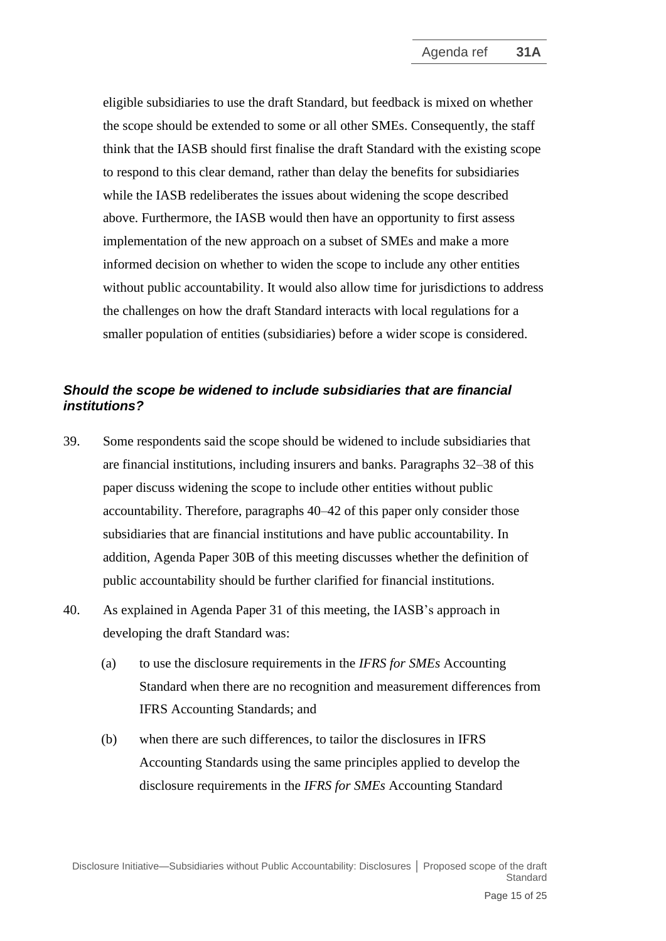eligible subsidiaries to use the draft Standard, but feedback is mixed on whether the scope should be extended to some or all other SMEs. Consequently, the staff think that the IASB should first finalise the draft Standard with the existing scope to respond to this clear demand, rather than delay the benefits for subsidiaries while the IASB redeliberates the issues about widening the scope described above. Furthermore, the IASB would then have an opportunity to first assess implementation of the new approach on a subset of SMEs and make a more informed decision on whether to widen the scope to include any other entities without public accountability. It would also allow time for jurisdictions to address the challenges on how the draft Standard interacts with local regulations for a smaller population of entities (subsidiaries) before a wider scope is considered.

## *Should the scope be widened to include subsidiaries that are financial institutions?*

- 39. Some respondents said the scope should be widened to include subsidiaries that are financial institutions, including insurers and banks. Paragraphs 32–38 of this paper discuss widening the scope to include other entities without public accountability. Therefore, paragraphs 40–42 of this paper only consider those subsidiaries that are financial institutions and have public accountability. In addition, Agenda Paper 30B of this meeting discusses whether the definition of public accountability should be further clarified for financial institutions.
- 40. As explained in Agenda Paper 31 of this meeting, the IASB's approach in developing the draft Standard was:
	- (a) to use the disclosure requirements in the *IFRS for SMEs* Accounting Standard when there are no recognition and measurement differences from IFRS Accounting Standards; and
	- (b) when there are such differences, to tailor the disclosures in IFRS Accounting Standards using the same principles applied to develop the disclosure requirements in the *IFRS for SMEs* Accounting Standard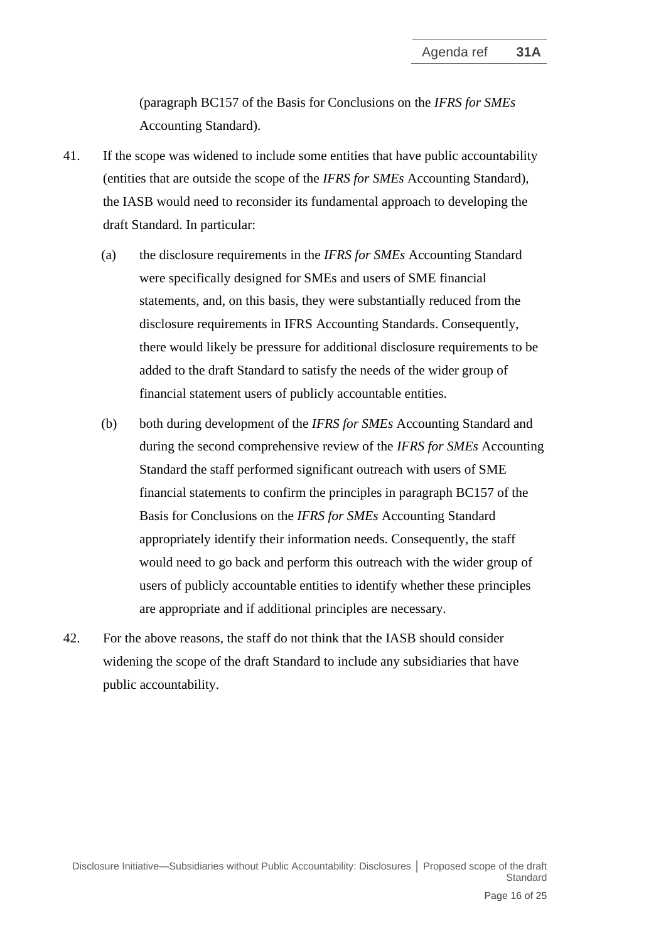(paragraph BC157 of the Basis for Conclusions on the *IFRS for SMEs* Accounting Standard).

- 41. If the scope was widened to include some entities that have public accountability (entities that are outside the scope of the *IFRS for SMEs* Accounting Standard), the IASB would need to reconsider its fundamental approach to developing the draft Standard. In particular:
	- (a) the disclosure requirements in the *IFRS for SMEs* Accounting Standard were specifically designed for SMEs and users of SME financial statements, and, on this basis, they were substantially reduced from the disclosure requirements in IFRS Accounting Standards. Consequently, there would likely be pressure for additional disclosure requirements to be added to the draft Standard to satisfy the needs of the wider group of financial statement users of publicly accountable entities.
	- (b) both during development of the *IFRS for SMEs* Accounting Standard and during the second comprehensive review of the *IFRS for SMEs* Accounting Standard the staff performed significant outreach with users of SME financial statements to confirm the principles in paragraph BC157 of the Basis for Conclusions on the *IFRS for SMEs* Accounting Standard appropriately identify their information needs. Consequently, the staff would need to go back and perform this outreach with the wider group of users of publicly accountable entities to identify whether these principles are appropriate and if additional principles are necessary.
- 42. For the above reasons, the staff do not think that the IASB should consider widening the scope of the draft Standard to include any subsidiaries that have public accountability.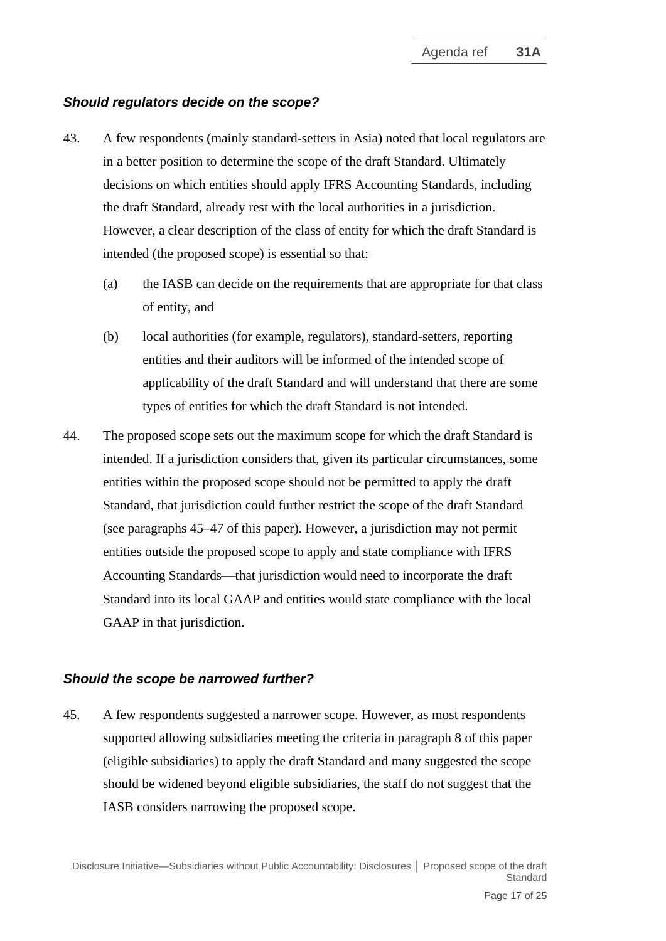### *Should regulators decide on the scope?*

- 43. A few respondents (mainly standard-setters in Asia) noted that local regulators are in a better position to determine the scope of the draft Standard. Ultimately decisions on which entities should apply IFRS Accounting Standards, including the draft Standard, already rest with the local authorities in a jurisdiction. However, a clear description of the class of entity for which the draft Standard is intended (the proposed scope) is essential so that:
	- (a) the IASB can decide on the requirements that are appropriate for that class of entity, and
	- (b) local authorities (for example, regulators), standard-setters, reporting entities and their auditors will be informed of the intended scope of applicability of the draft Standard and will understand that there are some types of entities for which the draft Standard is not intended.
- 44. The proposed scope sets out the maximum scope for which the draft Standard is intended. If a jurisdiction considers that, given its particular circumstances, some entities within the proposed scope should not be permitted to apply the draft Standard, that jurisdiction could further restrict the scope of the draft Standard (see paragraphs 45–47 of this paper). However, a jurisdiction may not permit entities outside the proposed scope to apply and state compliance with IFRS Accounting Standards—that jurisdiction would need to incorporate the draft Standard into its local GAAP and entities would state compliance with the local GAAP in that jurisdiction.

### *Should the scope be narrowed further?*

45. A few respondents suggested a narrower scope. However, as most respondents supported allowing subsidiaries meeting the criteria in paragraph 8 of this paper (eligible subsidiaries) to apply the draft Standard and many suggested the scope should be widened beyond eligible subsidiaries, the staff do not suggest that the IASB considers narrowing the proposed scope.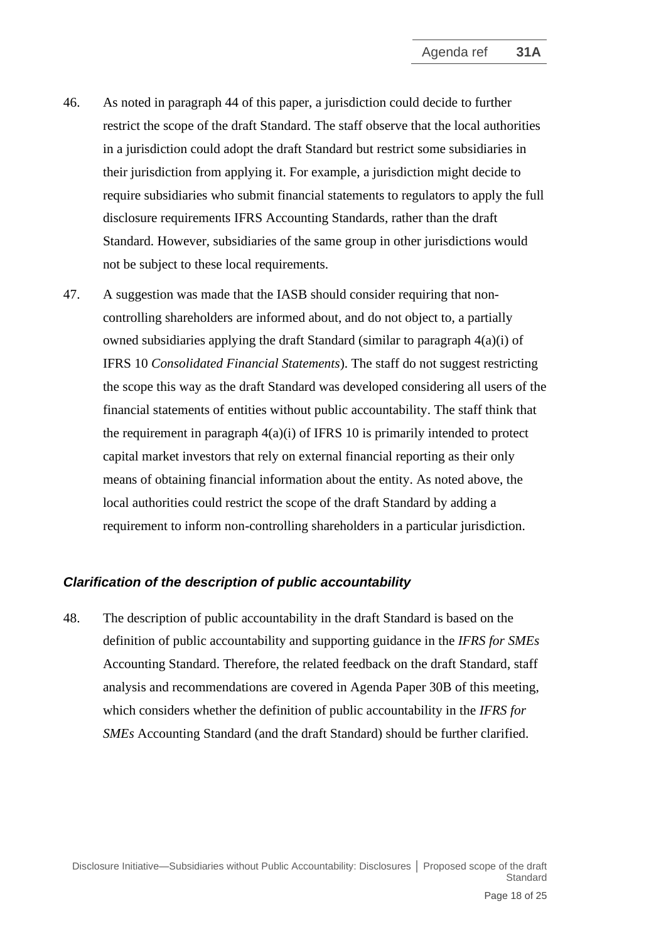- 46. As noted in paragraph 44 of this paper, a jurisdiction could decide to further restrict the scope of the draft Standard. The staff observe that the local authorities in a jurisdiction could adopt the draft Standard but restrict some subsidiaries in their jurisdiction from applying it. For example, a jurisdiction might decide to require subsidiaries who submit financial statements to regulators to apply the full disclosure requirements IFRS Accounting Standards, rather than the draft Standard. However, subsidiaries of the same group in other jurisdictions would not be subject to these local requirements.
- 47. A suggestion was made that the IASB should consider requiring that noncontrolling shareholders are informed about, and do not object to, a partially owned subsidiaries applying the draft Standard (similar to paragraph 4(a)(i) of IFRS 10 *Consolidated Financial Statements*). The staff do not suggest restricting the scope this way as the draft Standard was developed considering all users of the financial statements of entities without public accountability. The staff think that the requirement in paragraph  $4(a)(i)$  of IFRS 10 is primarily intended to protect capital market investors that rely on external financial reporting as their only means of obtaining financial information about the entity. As noted above, the local authorities could restrict the scope of the draft Standard by adding a requirement to inform non-controlling shareholders in a particular jurisdiction.

## *Clarification of the description of public accountability*

48. The description of public accountability in the draft Standard is based on the definition of public accountability and supporting guidance in the *IFRS for SMEs* Accounting Standard. Therefore, the related feedback on the draft Standard, staff analysis and recommendations are covered in Agenda Paper 30B of this meeting, which considers whether the definition of public accountability in the *IFRS for SMEs* Accounting Standard (and the draft Standard) should be further clarified.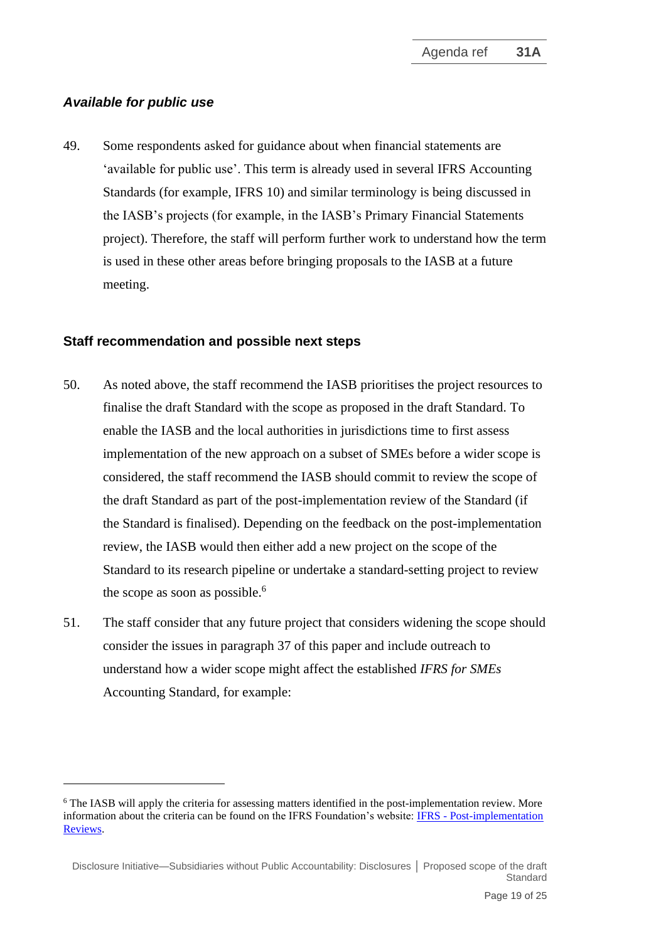## *Available for public use*

49. Some respondents asked for guidance about when financial statements are 'available for public use'. This term is already used in several IFRS Accounting Standards (for example, IFRS 10) and similar terminology is being discussed in the IASB's projects (for example, in the IASB's Primary Financial Statements project). Therefore, the staff will perform further work to understand how the term is used in these other areas before bringing proposals to the IASB at a future meeting.

#### **Staff recommendation and possible next steps**

- 50. As noted above, the staff recommend the IASB prioritises the project resources to finalise the draft Standard with the scope as proposed in the draft Standard. To enable the IASB and the local authorities in jurisdictions time to first assess implementation of the new approach on a subset of SMEs before a wider scope is considered, the staff recommend the IASB should commit to review the scope of the draft Standard as part of the post-implementation review of the Standard (if the Standard is finalised). Depending on the feedback on the post-implementation review, the IASB would then either add a new project on the scope of the Standard to its research pipeline or undertake a standard-setting project to review the scope as soon as possible. 6
- 51. The staff consider that any future project that considers widening the scope should consider the issues in paragraph 37 of this paper and include outreach to understand how a wider scope might affect the established *IFRS for SMEs* Accounting Standard, for example:

<sup>&</sup>lt;sup>6</sup> The IASB will apply the criteria for assessing matters identified in the post-implementation review. More information about the criteria can be found on the IFRS Foundation's website: IFRS - [Post-implementation](https://www.ifrs.org/projects/post-implementation-reviews/)  [Reviews.](https://www.ifrs.org/projects/post-implementation-reviews/)

Disclosure Initiative—Subsidiaries without Public Accountability: Disclosures **│** Proposed scope of the draft Standard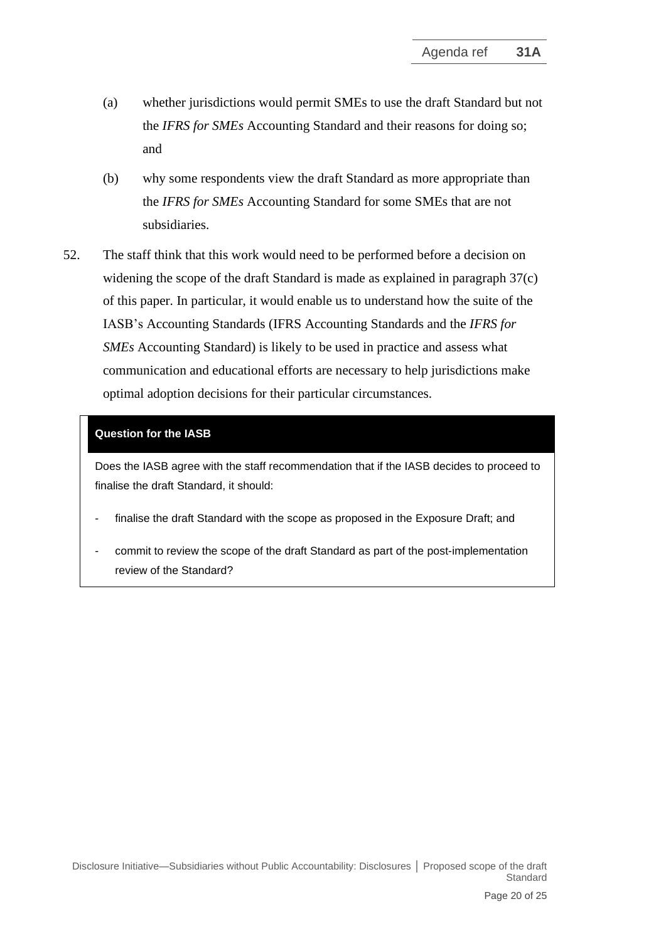- (a) whether jurisdictions would permit SMEs to use the draft Standard but not the *IFRS for SMEs* Accounting Standard and their reasons for doing so; and
- (b) why some respondents view the draft Standard as more appropriate than the *IFRS for SMEs* Accounting Standard for some SMEs that are not subsidiaries.
- 52. The staff think that this work would need to be performed before a decision on widening the scope of the draft Standard is made as explained in paragraph 37(c) of this paper. In particular, it would enable us to understand how the suite of the IASB's Accounting Standards (IFRS Accounting Standards and the *IFRS for SMEs* Accounting Standard) is likely to be used in practice and assess what communication and educational efforts are necessary to help jurisdictions make optimal adoption decisions for their particular circumstances.

#### **Question for the IASB**

Does the IASB agree with the staff recommendation that if the IASB decides to proceed to finalise the draft Standard, it should:

- finalise the draft Standard with the scope as proposed in the Exposure Draft; and
- commit to review the scope of the draft Standard as part of the post-implementation review of the Standard?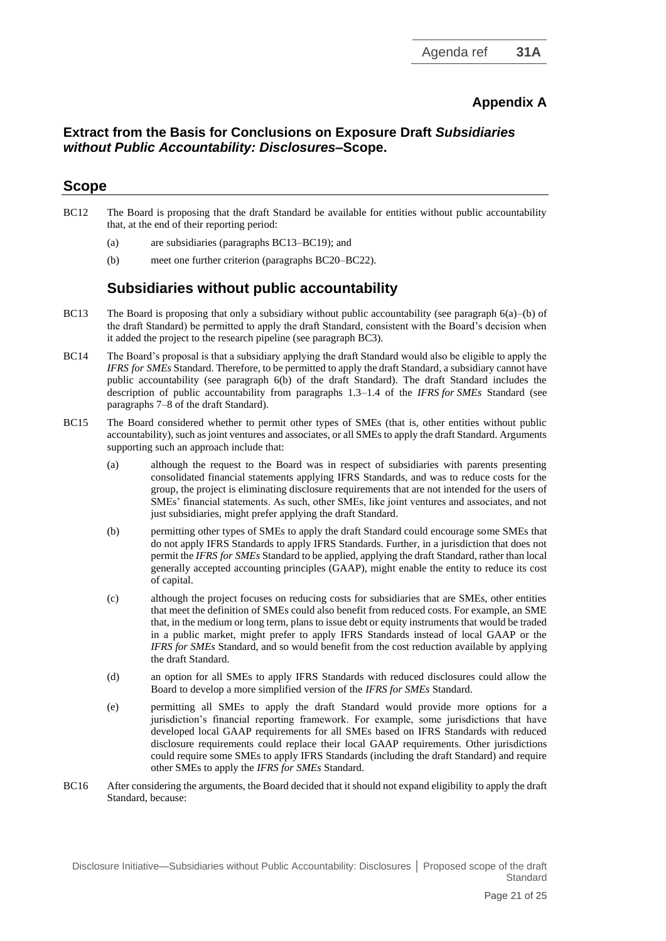# **Appendix A**

## **Extract from the Basis for Conclusions on Exposure Draft** *Subsidiaries without Public Accountability: Disclosures***–Scope.**

### **Scope**

- BC12 The Board is proposing that the draft Standard be available for entities without public accountability that, at the end of their reporting period:
	- (a) are subsidiaries (paragraphs BC13–BC19); and
	- (b) meet one further criterion (paragraphs BC20–BC22).

# **Subsidiaries without public accountability**

- BC13 The Board is proposing that only a subsidiary without public accountability (see paragraph  $6(a)$ –(b) of the draft Standard) be permitted to apply the draft Standard, consistent with the Board's decision when it added the project to the research pipeline (see paragraph BC3).
- BC14 The Board's proposal is that a subsidiary applying the draft Standard would also be eligible to apply the *IFRS for SMEs* Standard. Therefore, to be permitted to apply the draft Standard, a subsidiary cannot have public accountability (see paragraph 6(b) of the draft Standard). The draft Standard includes the description of public accountability from paragraphs 1.3–1.4 of the *IFRS for SMEs* Standard (see paragraphs 7–8 of the draft Standard).
- BC15 The Board considered whether to permit other types of SMEs (that is, other entities without public accountability), such as joint ventures and associates, or all SMEs to apply the draft Standard. Arguments supporting such an approach include that:
	- (a) although the request to the Board was in respect of subsidiaries with parents presenting consolidated financial statements applying IFRS Standards, and was to reduce costs for the group, the project is eliminating disclosure requirements that are not intended for the users of SMEs' financial statements. As such, other SMEs, like joint ventures and associates, and not just subsidiaries, might prefer applying the draft Standard.
	- (b) permitting other types of SMEs to apply the draft Standard could encourage some SMEs that do not apply IFRS Standards to apply IFRS Standards. Further, in a jurisdiction that does not permit the *IFRS for SMEs* Standard to be applied, applying the draft Standard, rather than local generally accepted accounting principles (GAAP), might enable the entity to reduce its cost of capital.
	- (c) although the project focuses on reducing costs for subsidiaries that are SMEs, other entities that meet the definition of SMEs could also benefit from reduced costs. For example, an SME that, in the medium or long term, plans to issue debt or equity instruments that would be traded in a public market, might prefer to apply IFRS Standards instead of local GAAP or the *IFRS for SMEs* Standard, and so would benefit from the cost reduction available by applying the draft Standard.
	- (d) an option for all SMEs to apply IFRS Standards with reduced disclosures could allow the Board to develop a more simplified version of the *IFRS for SMEs* Standard.
	- (e) permitting all SMEs to apply the draft Standard would provide more options for a jurisdiction's financial reporting framework. For example, some jurisdictions that have developed local GAAP requirements for all SMEs based on IFRS Standards with reduced disclosure requirements could replace their local GAAP requirements. Other jurisdictions could require some SMEs to apply IFRS Standards (including the draft Standard) and require other SMEs to apply the *IFRS for SMEs* Standard.
- BC16 After considering the arguments, the Board decided that it should not expand eligibility to apply the draft Standard, because: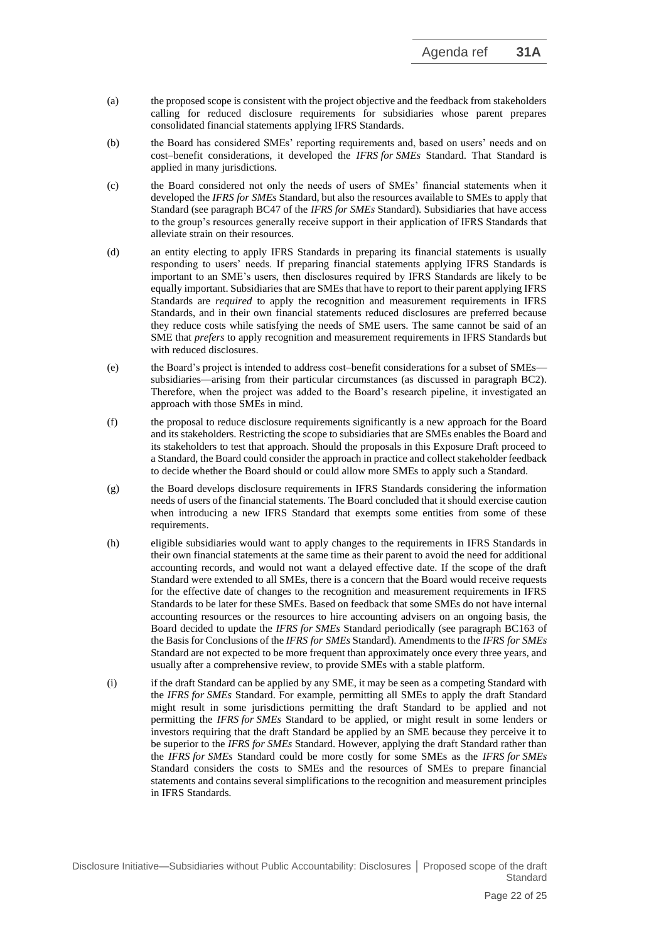- (a) the proposed scope is consistent with the project objective and the feedback from stakeholders calling for reduced disclosure requirements for subsidiaries whose parent prepares consolidated financial statements applying IFRS Standards.
- (b) the Board has considered SMEs' reporting requirements and, based on users' needs and on cost–benefit considerations, it developed the *IFRS for SMEs* Standard. That Standard is applied in many jurisdictions.
- (c) the Board considered not only the needs of users of SMEs' financial statements when it developed the *IFRS for SMEs* Standard, but also the resources available to SMEs to apply that Standard (see paragraph BC47 of the *IFRS for SMEs* Standard). Subsidiaries that have access to the group's resources generally receive support in their application of IFRS Standards that alleviate strain on their resources.
- (d) an entity electing to apply IFRS Standards in preparing its financial statements is usually responding to users' needs. If preparing financial statements applying IFRS Standards is important to an SME's users, then disclosures required by IFRS Standards are likely to be equally important. Subsidiaries that are SMEs that have to report to their parent applying IFRS Standards are *required* to apply the recognition and measurement requirements in IFRS Standards, and in their own financial statements reduced disclosures are preferred because they reduce costs while satisfying the needs of SME users. The same cannot be said of an SME that *prefers* to apply recognition and measurement requirements in IFRS Standards but with reduced disclosures.
- (e) the Board's project is intended to address cost–benefit considerations for a subset of SMEs subsidiaries—arising from their particular circumstances (as discussed in paragraph BC2). Therefore, when the project was added to the Board's research pipeline, it investigated an approach with those SMEs in mind.
- (f) the proposal to reduce disclosure requirements significantly is a new approach for the Board and its stakeholders. Restricting the scope to subsidiaries that are SMEs enables the Board and its stakeholders to test that approach. Should the proposals in this Exposure Draft proceed to a Standard, the Board could consider the approach in practice and collect stakeholder feedback to decide whether the Board should or could allow more SMEs to apply such a Standard.
- (g) the Board develops disclosure requirements in IFRS Standards considering the information needs of users of the financial statements. The Board concluded that it should exercise caution when introducing a new IFRS Standard that exempts some entities from some of these requirements.
- (h) eligible subsidiaries would want to apply changes to the requirements in IFRS Standards in their own financial statements at the same time as their parent to avoid the need for additional accounting records, and would not want a delayed effective date. If the scope of the draft Standard were extended to all SMEs, there is a concern that the Board would receive requests for the effective date of changes to the recognition and measurement requirements in IFRS Standards to be later for these SMEs. Based on feedback that some SMEs do not have internal accounting resources or the resources to hire accounting advisers on an ongoing basis, the Board decided to update the *IFRS for SMEs* Standard periodically (see paragraph BC163 of the Basis for Conclusions of the *IFRS for SMEs* Standard). Amendments to the *IFRS for SMEs* Standard are not expected to be more frequent than approximately once every three years, and usually after a comprehensive review, to provide SMEs with a stable platform.
- (i) if the draft Standard can be applied by any SME, it may be seen as a competing Standard with the *IFRS for SMEs* Standard. For example, permitting all SMEs to apply the draft Standard might result in some jurisdictions permitting the draft Standard to be applied and not permitting the *IFRS for SMEs* Standard to be applied, or might result in some lenders or investors requiring that the draft Standard be applied by an SME because they perceive it to be superior to the *IFRS for SMEs* Standard. However, applying the draft Standard rather than the *IFRS for SMEs* Standard could be more costly for some SMEs as the *IFRS for SMEs* Standard considers the costs to SMEs and the resources of SMEs to prepare financial statements and contains several simplifications to the recognition and measurement principles in IFRS Standards.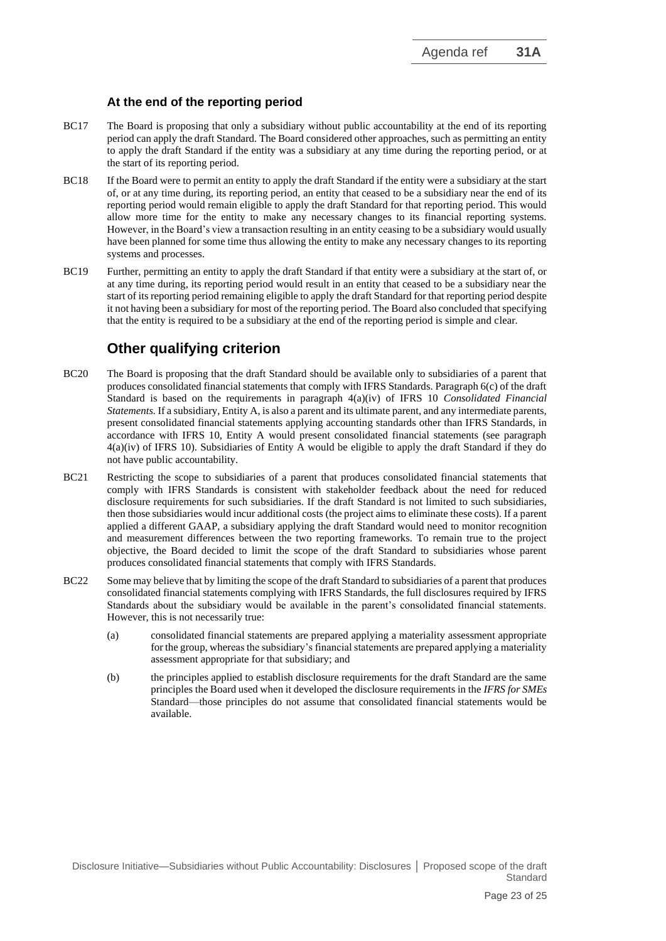#### **At the end of the reporting period**

- BC17 The Board is proposing that only a subsidiary without public accountability at the end of its reporting period can apply the draft Standard. The Board considered other approaches, such as permitting an entity to apply the draft Standard if the entity was a subsidiary at any time during the reporting period, or at the start of its reporting period.
- BC18 If the Board were to permit an entity to apply the draft Standard if the entity were a subsidiary at the start of, or at any time during, its reporting period, an entity that ceased to be a subsidiary near the end of its reporting period would remain eligible to apply the draft Standard for that reporting period. This would allow more time for the entity to make any necessary changes to its financial reporting systems. However, in the Board's view a transaction resulting in an entity ceasing to be a subsidiary would usually have been planned for some time thus allowing the entity to make any necessary changes to its reporting systems and processes.
- BC19 Further, permitting an entity to apply the draft Standard if that entity were a subsidiary at the start of, or at any time during, its reporting period would result in an entity that ceased to be a subsidiary near the start of its reporting period remaining eligible to apply the draft Standard for that reporting period despite it not having been a subsidiary for most of the reporting period. The Board also concluded that specifying that the entity is required to be a subsidiary at the end of the reporting period is simple and clear.

# **Other qualifying criterion**

- BC20 The Board is proposing that the draft Standard should be available only to subsidiaries of a parent that produces consolidated financial statements that comply with IFRS Standards. Paragraph 6(c) of the draft Standard is based on the requirements in paragraph 4(a)(iv) of IFRS 10 *Consolidated Financial Statements.* If a subsidiary, Entity A, is also a parent and its ultimate parent, and any intermediate parents, present consolidated financial statements applying accounting standards other than IFRS Standards, in accordance with IFRS 10, Entity A would present consolidated financial statements (see paragraph 4(a)(iv) of IFRS 10). Subsidiaries of Entity A would be eligible to apply the draft Standard if they do not have public accountability.
- BC21 Restricting the scope to subsidiaries of a parent that produces consolidated financial statements that comply with IFRS Standards is consistent with stakeholder feedback about the need for reduced disclosure requirements for such subsidiaries. If the draft Standard is not limited to such subsidiaries, then those subsidiaries would incur additional costs (the project aims to eliminate these costs). If a parent applied a different GAAP, a subsidiary applying the draft Standard would need to monitor recognition and measurement differences between the two reporting frameworks. To remain true to the project objective, the Board decided to limit the scope of the draft Standard to subsidiaries whose parent produces consolidated financial statements that comply with IFRS Standards.
- BC22 Some may believe that by limiting the scope of the draft Standard to subsidiaries of a parent that produces consolidated financial statements complying with IFRS Standards, the full disclosures required by IFRS Standards about the subsidiary would be available in the parent's consolidated financial statements. However, this is not necessarily true:
	- (a) consolidated financial statements are prepared applying a materiality assessment appropriate for the group, whereas the subsidiary's financial statements are prepared applying a materiality assessment appropriate for that subsidiary; and
	- (b) the principles applied to establish disclosure requirements for the draft Standard are the same principles the Board used when it developed the disclosure requirements in the *IFRS for SMEs* Standard—those principles do not assume that consolidated financial statements would be available.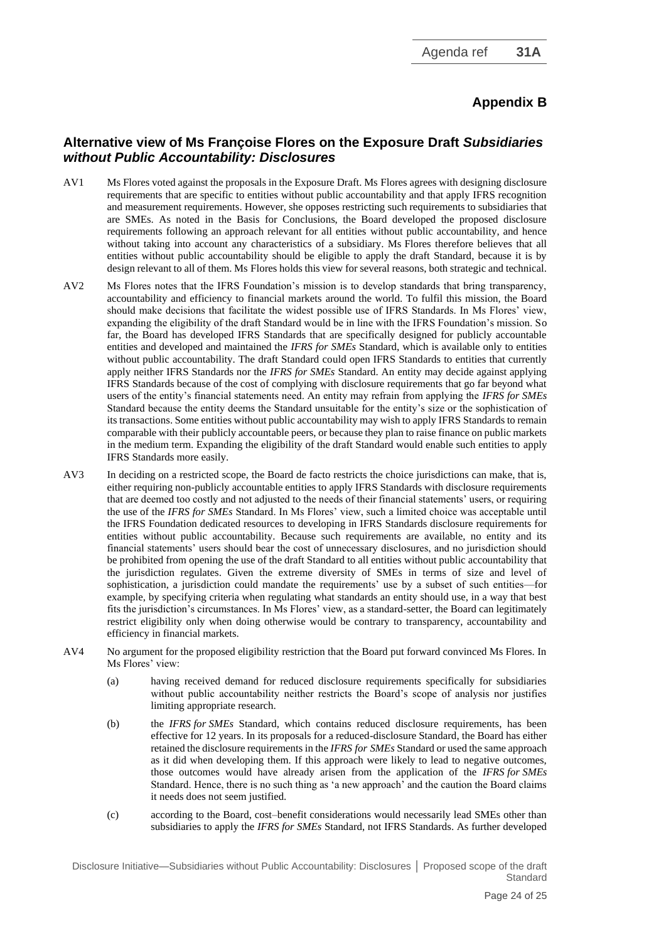## **Appendix B**

### **Alternative view of Ms Françoise Flores on the Exposure Draft** *Subsidiaries without Public Accountability: Disclosures*

- AV1 Ms Flores voted against the proposals in the Exposure Draft. Ms Flores agrees with designing disclosure requirements that are specific to entities without public accountability and that apply IFRS recognition and measurement requirements. However, she opposes restricting such requirements to subsidiaries that are SMEs. As noted in the Basis for Conclusions, the Board developed the proposed disclosure requirements following an approach relevant for all entities without public accountability, and hence without taking into account any characteristics of a subsidiary. Ms Flores therefore believes that all entities without public accountability should be eligible to apply the draft Standard, because it is by design relevant to all of them. Ms Flores holds this view for several reasons, both strategic and technical.
- AV2 Ms Flores notes that the IFRS Foundation's mission is to develop standards that bring transparency, accountability and efficiency to financial markets around the world. To fulfil this mission, the Board should make decisions that facilitate the widest possible use of IFRS Standards. In Ms Flores' view, expanding the eligibility of the draft Standard would be in line with the IFRS Foundation's mission. So far, the Board has developed IFRS Standards that are specifically designed for publicly accountable entities and developed and maintained the *IFRS for SMEs* Standard, which is available only to entities without public accountability. The draft Standard could open IFRS Standards to entities that currently apply neither IFRS Standards nor the *IFRS for SMEs* Standard. An entity may decide against applying IFRS Standards because of the cost of complying with disclosure requirements that go far beyond what users of the entity's financial statements need. An entity may refrain from applying the *IFRS for SMEs* Standard because the entity deems the Standard unsuitable for the entity's size or the sophistication of its transactions. Some entities without public accountability may wish to apply IFRS Standards to remain comparable with their publicly accountable peers, or because they plan to raise finance on public markets in the medium term. Expanding the eligibility of the draft Standard would enable such entities to apply IFRS Standards more easily.
- AV3 In deciding on a restricted scope, the Board de facto restricts the choice jurisdictions can make, that is, either requiring non-publicly accountable entities to apply IFRS Standards with disclosure requirements that are deemed too costly and not adjusted to the needs of their financial statements' users, or requiring the use of the *IFRS for SMEs* Standard. In Ms Flores' view, such a limited choice was acceptable until the IFRS Foundation dedicated resources to developing in IFRS Standards disclosure requirements for entities without public accountability. Because such requirements are available, no entity and its financial statements' users should bear the cost of unnecessary disclosures, and no jurisdiction should be prohibited from opening the use of the draft Standard to all entities without public accountability that the jurisdiction regulates. Given the extreme diversity of SMEs in terms of size and level of sophistication, a jurisdiction could mandate the requirements' use by a subset of such entities—for example, by specifying criteria when regulating what standards an entity should use, in a way that best fits the jurisdiction's circumstances. In Ms Flores' view, as a standard-setter, the Board can legitimately restrict eligibility only when doing otherwise would be contrary to transparency, accountability and efficiency in financial markets.
- AV4 No argument for the proposed eligibility restriction that the Board put forward convinced Ms Flores. In Ms Flores' view:
	- (a) having received demand for reduced disclosure requirements specifically for subsidiaries without public accountability neither restricts the Board's scope of analysis nor justifies limiting appropriate research.
	- (b) the *IFRS for SMEs* Standard, which contains reduced disclosure requirements, has been effective for 12 years. In its proposals for a reduced-disclosure Standard, the Board has either retained the disclosure requirements in the *IFRS for SMEs* Standard or used the same approach as it did when developing them. If this approach were likely to lead to negative outcomes, those outcomes would have already arisen from the application of the *IFRS for SMEs* Standard. Hence, there is no such thing as 'a new approach' and the caution the Board claims it needs does not seem justified.
	- (c) according to the Board, cost–benefit considerations would necessarily lead SMEs other than subsidiaries to apply the *IFRS for SMEs* Standard, not IFRS Standards. As further developed